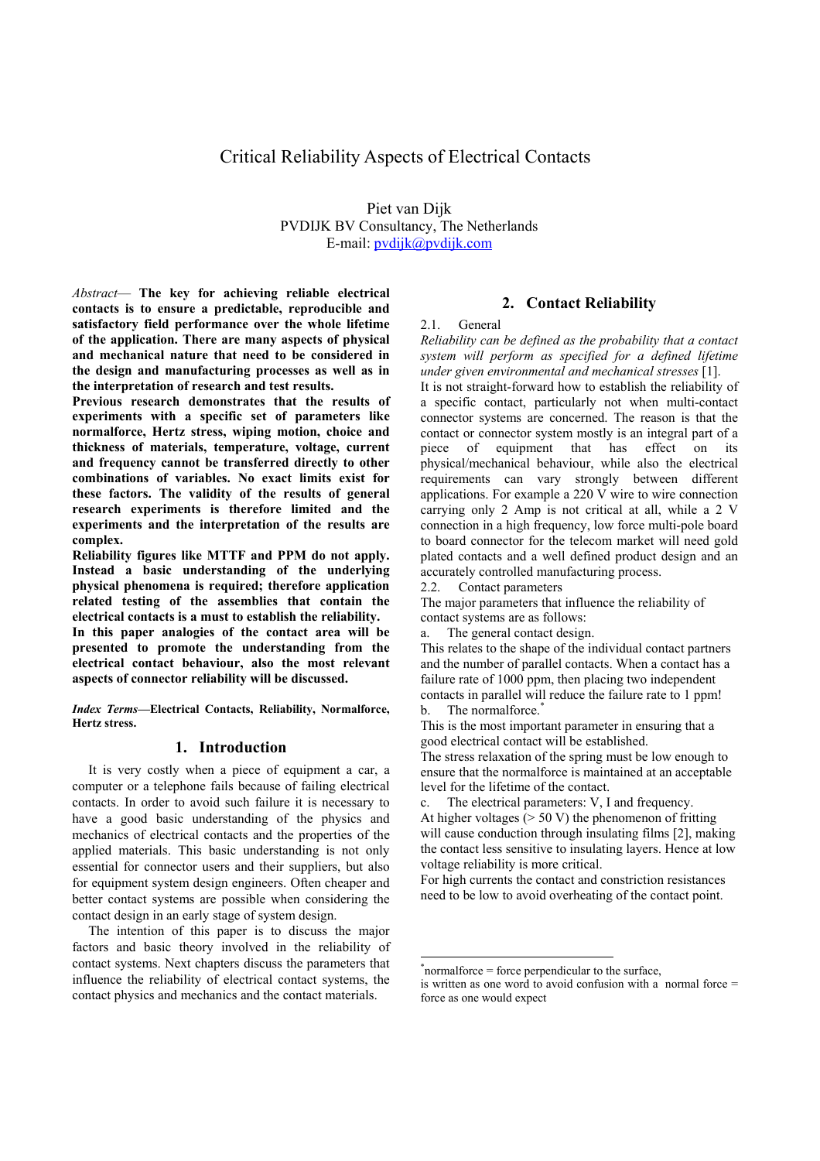# Critical Reliability Aspects of Electrical Contacts

Piet van Dijk PVDIJK BV Consultancy, The Netherlands E-mail: pvdijk@pvdijk.com

*Abstract*— **The key for achieving reliable electrical contacts is to ensure a predictable, reproducible and satisfactory field performance over the whole lifetime of the application. There are many aspects of physical and mechanical nature that need to be considered in the design and manufacturing processes as well as in the interpretation of research and test results.** 

**Previous research demonstrates that the results of experiments with a specific set of parameters like normalforce, Hertz stress, wiping motion, choice and thickness of materials, temperature, voltage, current and frequency cannot be transferred directly to other combinations of variables. No exact limits exist for these factors. The validity of the results of general research experiments is therefore limited and the experiments and the interpretation of the results are complex.** 

**Reliability figures like MTTF and PPM do not apply. Instead a basic understanding of the underlying physical phenomena is required; therefore application related testing of the assemblies that contain the electrical contacts is a must to establish the reliability.** 

**In this paper analogies of the contact area will be presented to promote the understanding from the electrical contact behaviour, also the most relevant aspects of connector reliability will be discussed.** 

*Index Terms***—Electrical Contacts, Reliability, Normalforce, Hertz stress.** 

# **1. Introduction**

It is very costly when a piece of equipment a car, a computer or a telephone fails because of failing electrical contacts. In order to avoid such failure it is necessary to have a good basic understanding of the physics and mechanics of electrical contacts and the properties of the applied materials. This basic understanding is not only essential for connector users and their suppliers, but also for equipment system design engineers. Often cheaper and better contact systems are possible when considering the contact design in an early stage of system design.

The intention of this paper is to discuss the major factors and basic theory involved in the reliability of contact systems. Next chapters discuss the parameters that influence the reliability of electrical contact systems, the contact physics and mechanics and the contact materials.

### **2. Contact Reliability**

#### 2.1. General

*Reliability can be defined as the probability that a contact system will perform as specified for a defined lifetime under given environmental and mechanical stresses* [1].

It is not straight-forward how to establish the reliability of a specific contact, particularly not when multi-contact connector systems are concerned. The reason is that the contact or connector system mostly is an integral part of a piece of equipment that has effect on its physical/mechanical behaviour, while also the electrical requirements can vary strongly between different applications. For example a 220 V wire to wire connection carrying only 2 Amp is not critical at all, while a 2 V connection in a high frequency, low force multi-pole board to board connector for the telecom market will need gold plated contacts and a well defined product design and an accurately controlled manufacturing process.

2.2. Contact parameters

The major parameters that influence the reliability of contact systems are as follows:

This relates to the shape of the individual contact partners and the number of parallel contacts. When a contact has a failure rate of 1000 ppm, then placing two independent contacts in parallel will reduce the failure rate to 1 ppm! b. The normalforce.<sup>\*</sup>

This is the most important parameter in ensuring that a good electrical contact will be established.

The stress relaxation of the spring must be low enough to ensure that the normalforce is maintained at an acceptable level for the lifetime of the contact.

c. The electrical parameters: V, I and frequency. At higher voltages ( $> 50$  V) the phenomenon of fritting will cause conduction through insulating films [2], making the contact less sensitive to insulating layers. Hence at low voltage reliability is more critical.

For high currents the contact and constriction resistances need to be low to avoid overheating of the contact point.

1

a. The general contact design.

<sup>\*</sup> normalforce = force perpendicular to the surface,

is written as one word to avoid confusion with a normal force = force as one would expect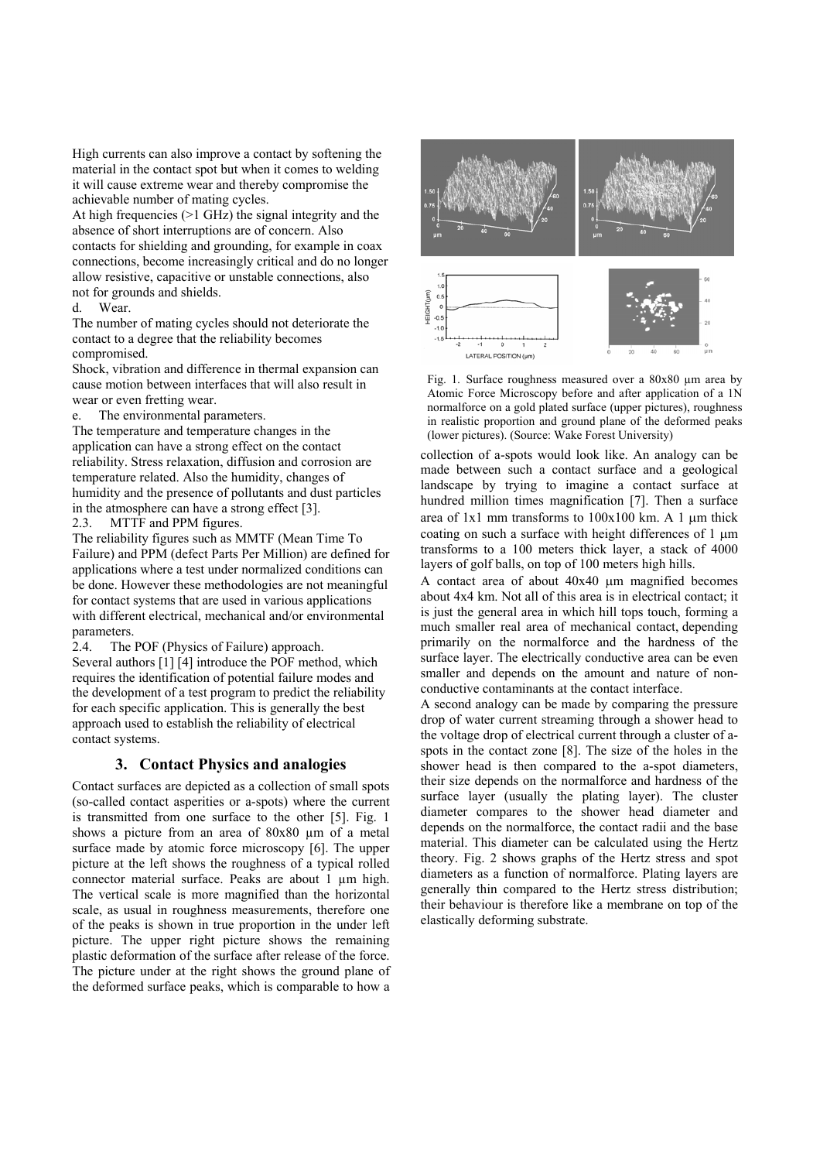High currents can also improve a contact by softening the material in the contact spot but when it comes to welding it will cause extreme wear and thereby compromise the achievable number of mating cycles.

At high frequencies (>1 GHz) the signal integrity and the absence of short interruptions are of concern. Also contacts for shielding and grounding, for example in coax connections, become increasingly critical and do no longer allow resistive, capacitive or unstable connections, also not for grounds and shields.

d. Wear.

The number of mating cycles should not deteriorate the contact to a degree that the reliability becomes compromised.

Shock, vibration and difference in thermal expansion can cause motion between interfaces that will also result in wear or even fretting wear.

e. The environmental parameters.

The temperature and temperature changes in the application can have a strong effect on the contact reliability. Stress relaxation, diffusion and corrosion are temperature related. Also the humidity, changes of humidity and the presence of pollutants and dust particles in the atmosphere can have a strong effect [3]. 2.3. MTTF and PPM figures.

The reliability figures such as MMTF (Mean Time To

Failure) and PPM (defect Parts Per Million) are defined for applications where a test under normalized conditions can be done. However these methodologies are not meaningful for contact systems that are used in various applications with different electrical, mechanical and/or environmental parameters.

2.4. The POF (Physics of Failure) approach. Several authors [1] [4] introduce the POF method, which requires the identification of potential failure modes and the development of a test program to predict the reliability for each specific application. This is generally the best approach used to establish the reliability of electrical contact systems.

# **3. Contact Physics and analogies**

Contact surfaces are depicted as a collection of small spots (so-called contact asperities or a-spots) where the current is transmitted from one surface to the other [5]. Fig. 1 shows a picture from an area of 80x80  $\mu$ m of a metal surface made by atomic force microscopy [6]. The upper picture at the left shows the roughness of a typical rolled connector material surface. Peaks are about 1 µm high. The vertical scale is more magnified than the horizontal scale, as usual in roughness measurements, therefore one of the peaks is shown in true proportion in the under left picture. The upper right picture shows the remaining plastic deformation of the surface after release of the force. The picture under at the right shows the ground plane of the deformed surface peaks, which is comparable to how a



Fig. 1. Surface roughness measured over a 80x80 µm area by Atomic Force Microscopy before and after application of a 1N normalforce on a gold plated surface (upper pictures), roughness in realistic proportion and ground plane of the deformed peaks (lower pictures). (Source: Wake Forest University)

collection of a-spots would look like. An analogy can be made between such a contact surface and a geological landscape by trying to imagine a contact surface at hundred million times magnification [7]. Then a surface area of 1x1 mm transforms to 100x100 km. A 1 µm thick coating on such a surface with height differences of  $1 \mu m$ transforms to a 100 meters thick layer, a stack of 4000 layers of golf balls, on top of 100 meters high hills.

A contact area of about 40x40 µm magnified becomes about 4x4 km. Not all of this area is in electrical contact; it is just the general area in which hill tops touch, forming a much smaller real area of mechanical contact, depending primarily on the normalforce and the hardness of the surface layer. The electrically conductive area can be even smaller and depends on the amount and nature of nonconductive contaminants at the contact interface.

A second analogy can be made by comparing the pressure drop of water current streaming through a shower head to the voltage drop of electrical current through a cluster of aspots in the contact zone [8]. The size of the holes in the shower head is then compared to the a-spot diameters, their size depends on the normalforce and hardness of the surface layer (usually the plating layer). The cluster diameter compares to the shower head diameter and depends on the normalforce, the contact radii and the base material. This diameter can be calculated using the Hertz theory. Fig. 2 shows graphs of the Hertz stress and spot diameters as a function of normalforce. Plating layers are generally thin compared to the Hertz stress distribution; their behaviour is therefore like a membrane on top of the elastically deforming substrate.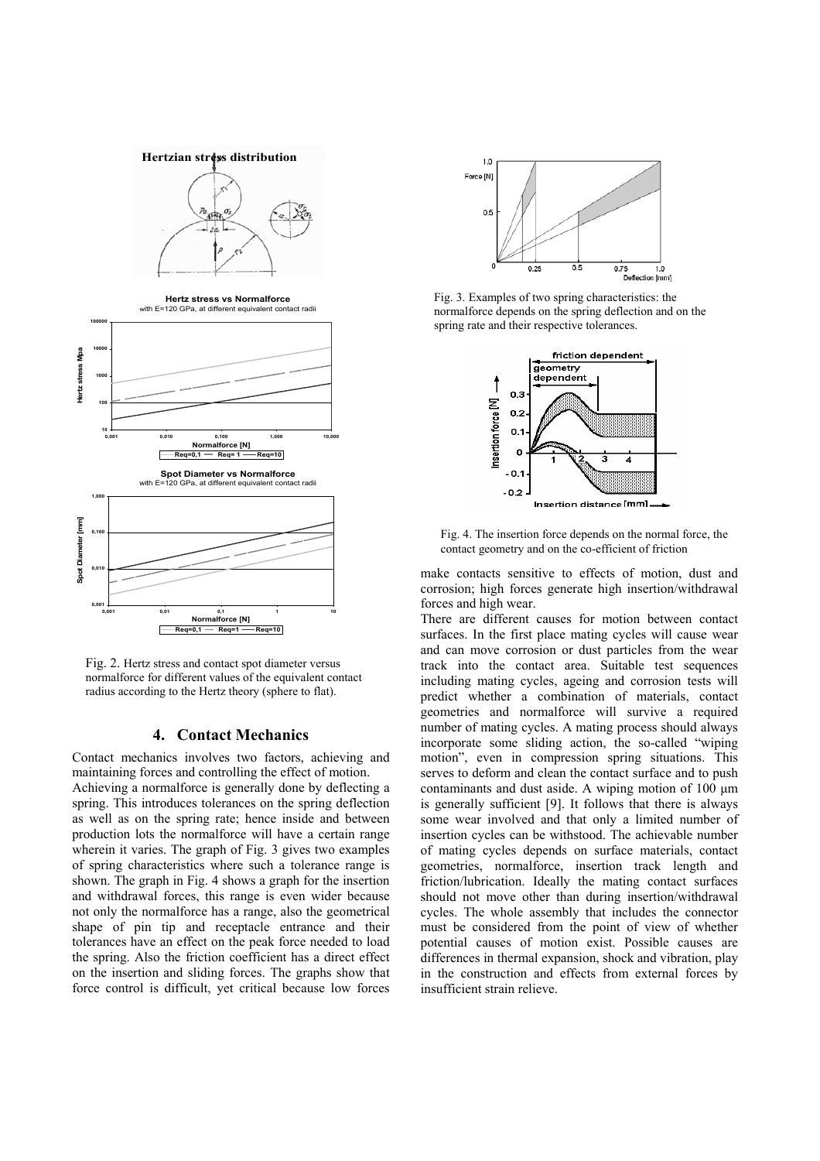**Hertzian stress distribution** 





Fig. 2. Hertz stress and contact spot diameter versus normalforce for different values of the equivalent contact radius according to the Hertz theory (sphere to flat).

### **4. Contact Mechanics**

Contact mechanics involves two factors, achieving and maintaining forces and controlling the effect of motion. Achieving a normalforce is generally done by deflecting a spring. This introduces tolerances on the spring deflection as well as on the spring rate; hence inside and between production lots the normalforce will have a certain range wherein it varies. The graph of Fig. 3 gives two examples of spring characteristics where such a tolerance range is shown. The graph in Fig. 4 shows a graph for the insertion and withdrawal forces, this range is even wider because not only the normalforce has a range, also the geometrical shape of pin tip and receptacle entrance and their tolerances have an effect on the peak force needed to load the spring. Also the friction coefficient has a direct effect on the insertion and sliding forces. The graphs show that force control is difficult, yet critical because low forces



Fig. 3. Examples of two spring characteristics: the normalforce depends on the spring deflection and on the spring rate and their respective tolerances.



Fig. 4. The insertion force depends on the normal force, the contact geometry and on the co-efficient of friction

make contacts sensitive to effects of motion, dust and corrosion; high forces generate high insertion/withdrawal forces and high wear.

There are different causes for motion between contact surfaces. In the first place mating cycles will cause wear and can move corrosion or dust particles from the wear track into the contact area. Suitable test sequences including mating cycles, ageing and corrosion tests will predict whether a combination of materials, contact geometries and normalforce will survive a required number of mating cycles. A mating process should always incorporate some sliding action, the so-called "wiping motion", even in compression spring situations. This serves to deform and clean the contact surface and to push contaminants and dust aside. A wiping motion of  $100 \mu m$ is generally sufficient [9]. It follows that there is always some wear involved and that only a limited number of insertion cycles can be withstood. The achievable number of mating cycles depends on surface materials, contact geometries, normalforce, insertion track length and friction/lubrication. Ideally the mating contact surfaces should not move other than during insertion/withdrawal cycles. The whole assembly that includes the connector must be considered from the point of view of whether potential causes of motion exist. Possible causes are differences in thermal expansion, shock and vibration, play in the construction and effects from external forces by insufficient strain relieve.